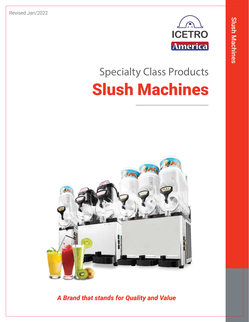Revised Jan/2022



# **Specialty Class Products** Slush Machines



*A Brand that stands for Quality and Value*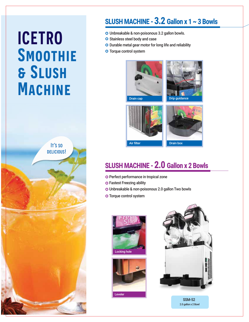# **ICETRO Smoothie & Slush Machine**



### SLUSH MACHINE - 3.2 Gallon x 1 ~ 3 Bowls

- Unbreakable & non-poisonous 3.2 gallon bowls.
- O Stainless steel body and case
- O Durable metal gear motor for long life and reliability
- **O** Torque control system



Air filter **Drain box** 

## SLUSH MACHINE - 2.0 Gallon x 2 Bowls

- O Perfect performance in tropical zone
- **O Fastest Freezing ability**
- Unbreakable & non-poisonous 2.0 gallon Two bowls
- O Torque control system







SSM-52 2.0 gallon x 2 Bowl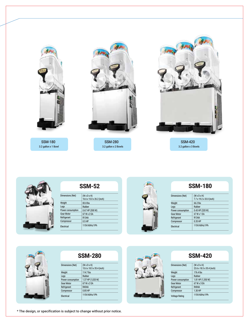



### SSM-52

| Dimensions (Net)  | $(W \times D \times H)$<br>16.6 x 15.0 x 26.2 (inch) |
|-------------------|------------------------------------------------------|
| Weight            | 83.8 lbs                                             |
| Legs              | Rubber                                               |
| Power consumption | $0.67$ HP $(500 W)$                                  |
| <b>Gear Motor</b> | 67 W x 2 EA                                          |
| Refrigerant       | <b>R134A</b>                                         |
| Compressor        | $0.5$ HP                                             |
| Electrical        | 115V/60Hz/1Ph                                        |



#### SSM-180

| Dimensions (Net)  | $(W \times D \times H)$<br>7.7 x 19.2 x 33.0 (inch) |
|-------------------|-----------------------------------------------------|
| Weight            | 66.2 lbs                                            |
| Legs              | Rubber                                              |
| Power consumption | 0.43 HP (320 W)                                     |
| <b>Gear Motor</b> | 67 W x 1 EA                                         |
| Refrigerant       | <b>R134A</b>                                        |
| Compressor        | $0.35$ HP                                           |
| Electrical        | 115V/60Hz/1Ph                                       |



| 32M-790           |                                                      |  |
|-------------------|------------------------------------------------------|--|
| Dimensions (Net)  | $(W \times D \times H)$<br>15.6 x 18.5 x 35.4 (inch) |  |
| Weight            | 114.7 lbs                                            |  |
| Legs              | Rubber                                               |  |
| Power consumption | 1.37 HP (1,020 W)                                    |  |
| <b>Gear Motor</b> | 67 W x 2 EA                                          |  |
| Refrigerant       | <b>R404A</b>                                         |  |
| Compressor        | $0.85$ HP                                            |  |
| Electrical        | 115V/60Hz/1Ph                                        |  |



| Dimensions (Net)      | $(W \times D \times H)$<br>23.6 x 18.5 x 35.4 (inch) |
|-----------------------|------------------------------------------------------|
| Weight                | 176.4 lbs                                            |
| Legs                  | Rubber                                               |
| Power consumption     | 1.81 HP (1,350 W)                                    |
| <b>Gear Motor</b>     | 67 W x 3 EA                                          |
| Refrigerant           | <b>R404A</b>                                         |
| Compressor            | 1.30 HP                                              |
| <b>Voltage Rating</b> | 115V/60Hz/1Ph                                        |
|                       |                                                      |

\* The design, or specification is subject to change without prior notice.